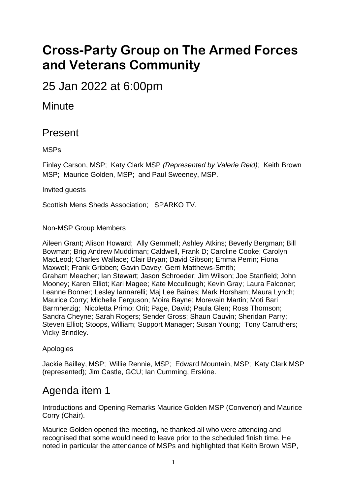# **Cross-Party Group on The Armed Forces and Veterans Community**

25 Jan 2022 at 6:00pm

#### **Minute**

#### Present

MSPs

Finlay Carson, MSP; Katy Clark MSP *(Represented by Valerie Reid);* Keith Brown MSP; Maurice Golden, MSP; and Paul Sweeney, MSP.

Invited guests

Scottish Mens Sheds Association; SPARKO TV.

Non-MSP Group Members

Aileen Grant; Alison Howard; Ally Gemmell; Ashley Atkins; Beverly Bergman; Bill Bowman; Brig Andrew Muddiman; Caldwell, Frank D; Caroline Cooke; Carolyn MacLeod; Charles Wallace; Clair Bryan; David Gibson; Emma Perrin; Fiona Maxwell; Frank Gribben; Gavin Davey; Gerri Matthews-Smith; Graham Meacher; Ian Stewart; Jason Schroeder; Jim Wilson; Joe Stanfield; John Mooney; Karen Elliot; Kari Magee; Kate Mccullough; Kevin Gray; Laura Falconer; Leanne Bonner; Lesley Iannarelli; Maj Lee Baines; Mark Horsham; Maura Lynch; Maurice Corry; Michelle Ferguson; Moira Bayne; Morevain Martin; Moti Bari Barmherzig; Nicoletta Primo; Orit; Page, David; Paula Glen; Ross Thomson; Sandra Cheyne; Sarah Rogers; Sender Gross; Shaun Cauvin; Sheridan Parry; Steven Elliot; Stoops, William; Support Manager; Susan Young; Tony Carruthers; Vicky Brindley.

Apologies

Jackie Bailley, MSP; Willie Rennie, MSP; Edward Mountain, MSP; Katy Clark MSP (represented); Jim Castle, GCU; Ian Cumming, Erskine.

### Agenda item 1

Introductions and Opening Remarks Maurice Golden MSP (Convenor) and Maurice Corry (Chair).

Maurice Golden opened the meeting, he thanked all who were attending and recognised that some would need to leave prior to the scheduled finish time. He noted in particular the attendance of MSPs and highlighted that Keith Brown MSP,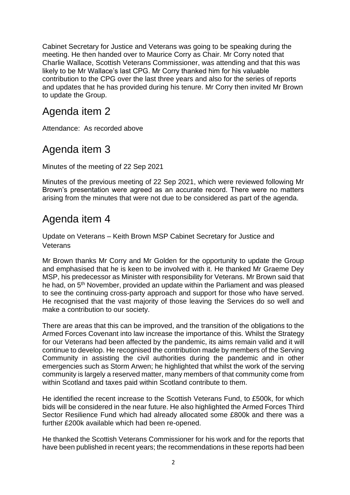Cabinet Secretary for Justice and Veterans was going to be speaking during the meeting. He then handed over to Maurice Corry as Chair. Mr Corry noted that Charlie Wallace, Scottish Veterans Commissioner, was attending and that this was likely to be Mr Wallace's last CPG. Mr Corry thanked him for his valuable contribution to the CPG over the last three years and also for the series of reports and updates that he has provided during his tenure. Mr Corry then invited Mr Brown to update the Group.

#### Agenda item 2

Attendance: As recorded above

#### Agenda item 3

Minutes of the meeting of 22 Sep 2021

Minutes of the previous meeting of 22 Sep 2021, which were reviewed following Mr Brown's presentation were agreed as an accurate record. There were no matters arising from the minutes that were not due to be considered as part of the agenda.

#### Agenda item 4

Update on Veterans – Keith Brown MSP Cabinet Secretary for Justice and **Veterans** 

Mr Brown thanks Mr Corry and Mr Golden for the opportunity to update the Group and emphasised that he is keen to be involved with it. He thanked Mr Graeme Dey MSP, his predecessor as Minister with responsibility for Veterans. Mr Brown said that he had, on 5<sup>th</sup> November, provided an update within the Parliament and was pleased to see the continuing cross-party approach and support for those who have served. He recognised that the vast majority of those leaving the Services do so well and make a contribution to our society.

There are areas that this can be improved, and the transition of the obligations to the Armed Forces Covenant into law increase the importance of this. Whilst the Strategy for our Veterans had been affected by the pandemic, its aims remain valid and it will continue to develop. He recognised the contribution made by members of the Serving Community in assisting the civil authorities during the pandemic and in other emergencies such as Storm Arwen; he highlighted that whilst the work of the serving community is largely a reserved matter, many members of that community come from within Scotland and taxes paid within Scotland contribute to them.

He identified the recent increase to the Scottish Veterans Fund, to £500k, for which bids will be considered in the near future. He also highlighted the Armed Forces Third Sector Resilience Fund which had already allocated some £800k and there was a further £200k available which had been re-opened.

He thanked the Scottish Veterans Commissioner for his work and for the reports that have been published in recent years; the recommendations in these reports had been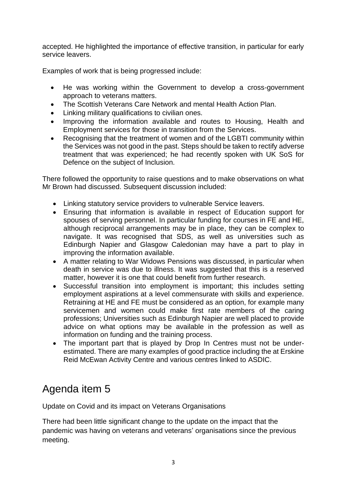accepted. He highlighted the importance of effective transition, in particular for early service leavers.

Examples of work that is being progressed include:

- He was working within the Government to develop a cross-government approach to veterans matters.
- The Scottish Veterans Care Network and mental Health Action Plan.
- Linking military qualifications to civilian ones.
- Improving the information available and routes to Housing, Health and Employment services for those in transition from the Services.
- Recognising that the treatment of women and of the LGBTI community within the Services was not good in the past. Steps should be taken to rectify adverse treatment that was experienced; he had recently spoken with UK SoS for Defence on the subject of Inclusion.

There followed the opportunity to raise questions and to make observations on what Mr Brown had discussed. Subsequent discussion included:

- Linking statutory service providers to vulnerable Service leavers.
- Ensuring that information is available in respect of Education support for spouses of serving personnel. In particular funding for courses in FE and HE, although reciprocal arrangements may be in place, they can be complex to navigate. It was recognised that SDS, as well as universities such as Edinburgh Napier and Glasgow Caledonian may have a part to play in improving the information available.
- A matter relating to War Widows Pensions was discussed, in particular when death in service was due to illness. It was suggested that this is a reserved matter, however it is one that could benefit from further research.
- Successful transition into employment is important; this includes setting employment aspirations at a level commensurate with skills and experience. Retraining at HE and FE must be considered as an option, for example many servicemen and women could make first rate members of the caring professions; Universities such as Edinburgh Napier are well placed to provide advice on what options may be available in the profession as well as information on funding and the training process.
- The important part that is played by Drop In Centres must not be underestimated. There are many examples of good practice including the at Erskine Reid McEwan Activity Centre and various centres linked to ASDIC.

### Agenda item 5

Update on Covid and its impact on Veterans Organisations

There had been little significant change to the update on the impact that the pandemic was having on veterans and veterans' organisations since the previous meeting.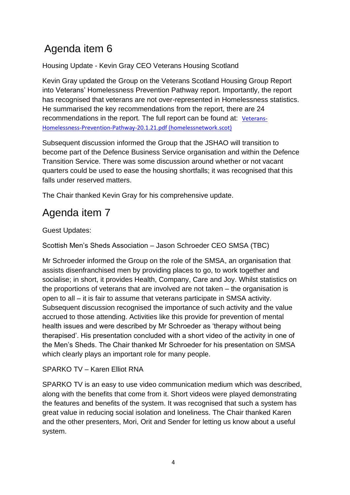# Agenda item 6

Housing Update - Kevin Gray CEO Veterans Housing Scotland

Kevin Gray updated the Group on the Veterans Scotland Housing Group Report into Veterans' Homelessness Prevention Pathway report. Importantly, the report has recognised that veterans are not over-represented in Homelessness statistics. He summarised the key recommendations from the report, there are 24 recommendations in the report. The full report can be found at: [Veterans-](https://homelessnetwork.scot/wp-content/uploads/2022/01/Veterans-Homelessness-Prevention-Pathway-20.1.21.pdf)[Homelessness-Prevention-Pathway-20.1.21.pdf \(homelessnetwork.scot\)](https://homelessnetwork.scot/wp-content/uploads/2022/01/Veterans-Homelessness-Prevention-Pathway-20.1.21.pdf)

Subsequent discussion informed the Group that the JSHAO will transition to become part of the Defence Business Service organisation and within the Defence Transition Service. There was some discussion around whether or not vacant quarters could be used to ease the housing shortfalls; it was recognised that this falls under reserved matters.

The Chair thanked Kevin Gray for his comprehensive update.

# Agenda item 7

Guest Updates:

Scottish Men's Sheds Association – Jason Schroeder CEO SMSA (TBC)

Mr Schroeder informed the Group on the role of the SMSA, an organisation that assists disenfranchised men by providing places to go, to work together and socialise; in short, it provides Health, Company, Care and Joy. Whilst statistics on the proportions of veterans that are involved are not taken – the organisation is open to all – it is fair to assume that veterans participate in SMSA activity. Subsequent discussion recognised the importance of such activity and the value accrued to those attending. Activities like this provide for prevention of mental health issues and were described by Mr Schroeder as 'therapy without being therapised'. His presentation concluded with a short video of the activity in one of the Men's Sheds. The Chair thanked Mr Schroeder for his presentation on SMSA which clearly plays an important role for many people.

#### SPARKO TV – Karen Elliot RNA

SPARKO TV is an easy to use video communication medium which was described, along with the benefits that come from it. Short videos were played demonstrating the features and benefits of the system. It was recognised that such a system has great value in reducing social isolation and loneliness. The Chair thanked Karen and the other presenters, Mori, Orit and Sender for letting us know about a useful system.